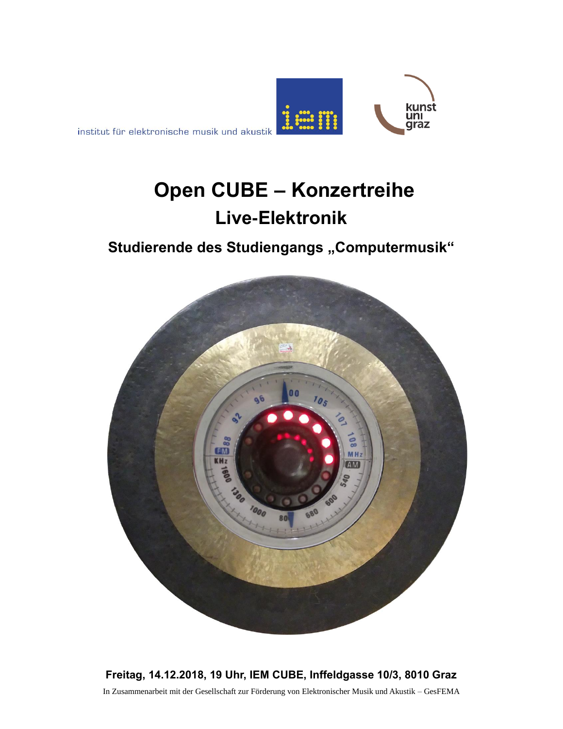

institut für elektronische musik und akustik

# **Open CUBE – Konzertreihe Live-Elektronik**

## **Studierende des Studiengangs "Computermusik"**



**Freitag, 14.12.2018, 19 Uhr, IEM CUBE, Inffeldgasse 10/3, 8010 Graz** In Zusammenarbeit mit der Gesellschaft zur Förderung von Elektronischer Musik und Akustik – GesFEMA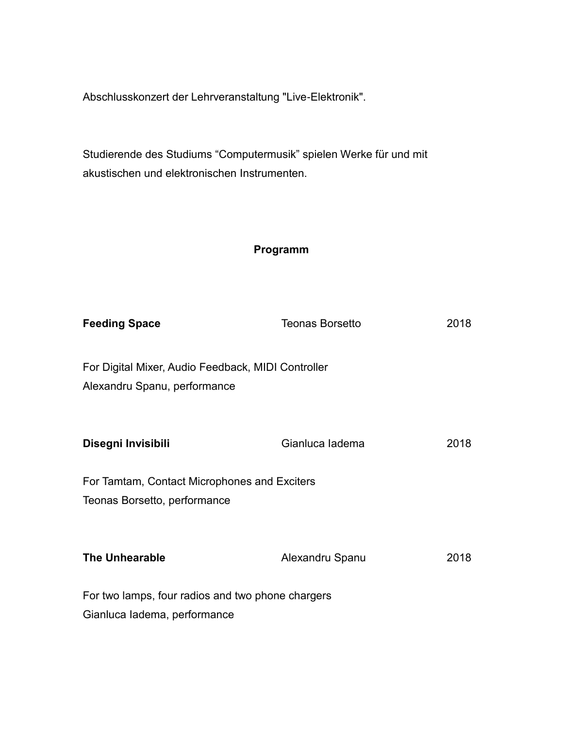Abschlusskonzert der Lehrveranstaltung "Live-Elektronik".

Studierende des Studiums "Computermusik" spielen Werke für und mit akustischen und elektronischen Instrumenten.

#### **Programm**

| <b>Feeding Space</b>                                                               | <b>Teonas Borsetto</b> | 2018 |
|------------------------------------------------------------------------------------|------------------------|------|
| For Digital Mixer, Audio Feedback, MIDI Controller<br>Alexandru Spanu, performance |                        |      |
| Disegni Invisibili                                                                 | Gianluca ladema        | 2018 |
| For Tamtam, Contact Microphones and Exciters<br>Teonas Borsetto, performance       |                        |      |
| <b>The Unhearable</b>                                                              | Alexandru Spanu        | 2018 |
| For two lamps, four radios and two phone chargers                                  |                        |      |
| Gianluca ladema, performance                                                       |                        |      |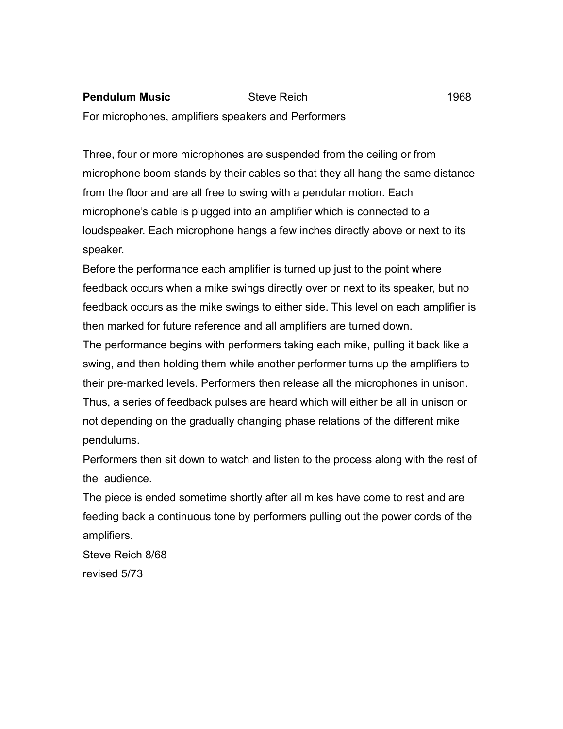## **Pendulum Music** Steve Reich 1968

For microphones, amplifiers speakers and Performers

Three, four or more microphones are suspended from the ceiling or from microphone boom stands by their cables so that they all hang the same distance from the floor and are all free to swing with a pendular motion. Each microphone's cable is plugged into an amplifier which is connected to a loudspeaker. Each microphone hangs a few inches directly above or next to its speaker.

Before the performance each amplifier is turned up just to the point where feedback occurs when a mike swings directly over or next to its speaker, but no feedback occurs as the mike swings to either side. This level on each amplifier is then marked for future reference and all amplifiers are turned down.

The performance begins with performers taking each mike, pulling it back like a swing, and then holding them while another performer turns up the amplifiers to their pre-marked levels. Performers then release all the microphones in unison. Thus, a series of feedback pulses are heard which will either be all in unison or not depending on the gradually changing phase relations of the different mike pendulums.

Performers then sit down to watch and listen to the process along with the rest of the audience.

The piece is ended sometime shortly after all mikes have come to rest and are feeding back a continuous tone by performers pulling out the power cords of the amplifiers.

Steve Reich 8/68 revised 5/73